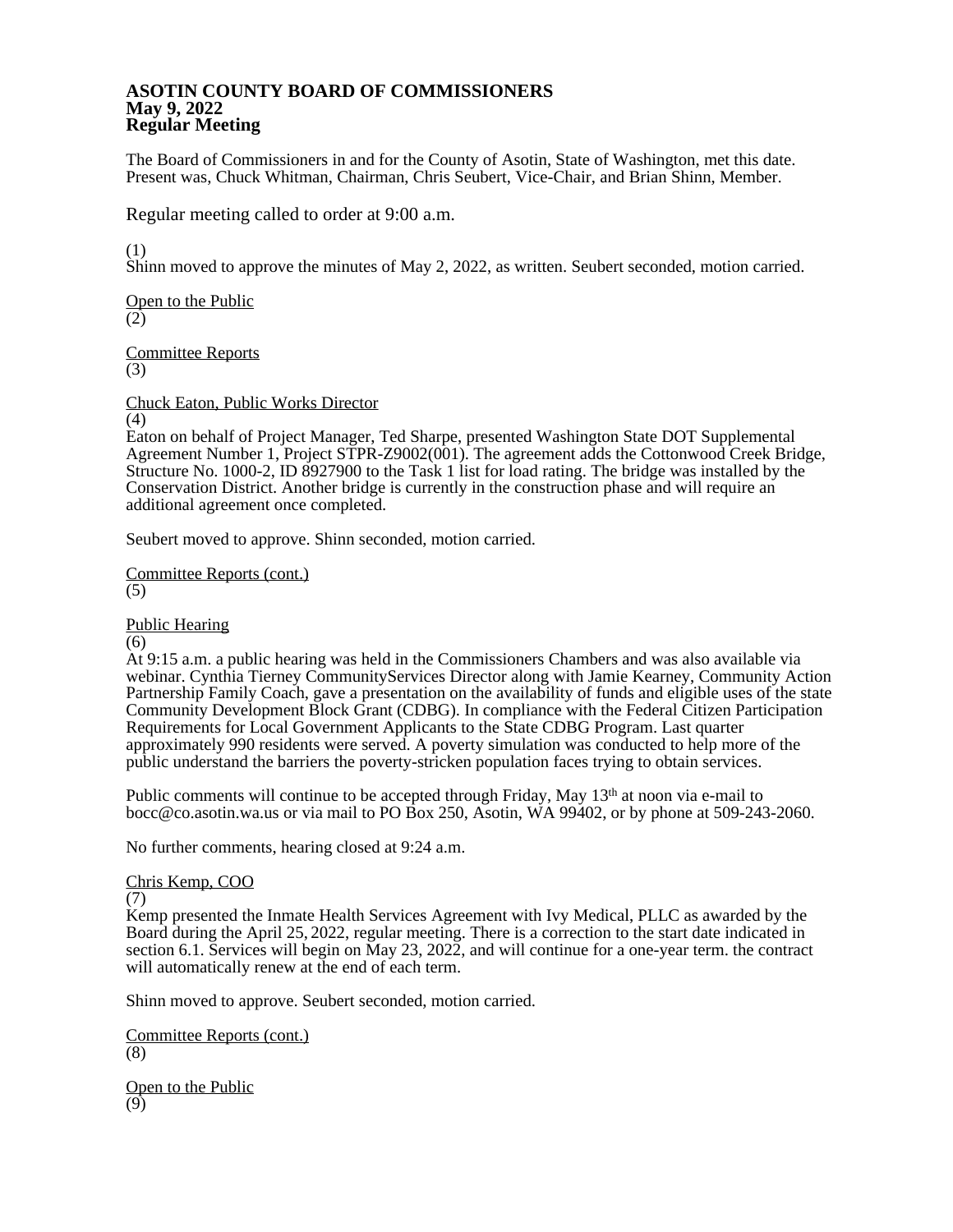## **ASOTIN COUNTY BOARD OF COMMISSIONERS May 9, 2022 Regular Meeting**

The Board of Commissioners in and for the County of Asotin, State of Washington, met this date. Present was, Chuck Whitman, Chairman, Chris Seubert, Vice-Chair, and Brian Shinn, Member.

Regular meeting called to order at 9:00 a.m.

(1)

Shinn moved to approve the minutes of May 2, 2022, as written. Seubert seconded, motion carried.

Open to the Public (2)

Committee Reports (3)

Chuck Eaton, Public Works Director

(4)

Eaton on behalf of Project Manager, Ted Sharpe, presented Washington State DOT Supplemental Agreement Number 1, Project STPR-Z9002(001). The agreement adds the Cottonwood Creek Bridge, Structure No. 1000-2, ID 8927900 to the Task 1 list for load rating. The bridge was installed by the Conservation District. Another bridge is currently in the construction phase and will require an additional agreement once completed.

Seubert moved to approve. Shinn seconded, motion carried.

Committee Reports (cont.) (5)

Public Hearing

(6)

At 9:15 a.m. a public hearing was held in the Commissioners Chambers and was also available via webinar. Cynthia Tierney CommunityServices Director along with Jamie Kearney, Community Action Partnership Family Coach, gave a presentation on the availability of funds and eligible uses of the state Community Development Block Grant (CDBG). In compliance with the Federal Citizen Participation Requirements for Local Government Applicants to the State CDBG Program. Last quarter approximately 990 residents were served. A poverty simulation was conducted to help more of the public understand the barriers the poverty-stricken population faces trying to obtain services.

Public comments will continue to be accepted through Friday, May 13<sup>th</sup> at noon via e-mail to bocc@co.asotin.wa.us or via mail to PO Box 250, Asotin, WA 99402, or by phone at 509-243-2060.

No further comments, hearing closed at 9:24 a.m.

Chris Kemp, COO

(7)

Kemp presented the Inmate Health Services Agreement with Ivy Medical, PLLC as awarded by the Board during the April 25, 2022, regular meeting. There is a correction to the start date indicated in section 6.1. Services will begin on May 23, 2022, and will continue for a one-year term. the contract will automatically renew at the end of each term.

Shinn moved to approve. Seubert seconded, motion carried.

Committee Reports (cont.) (8)

Open to the Public (9)